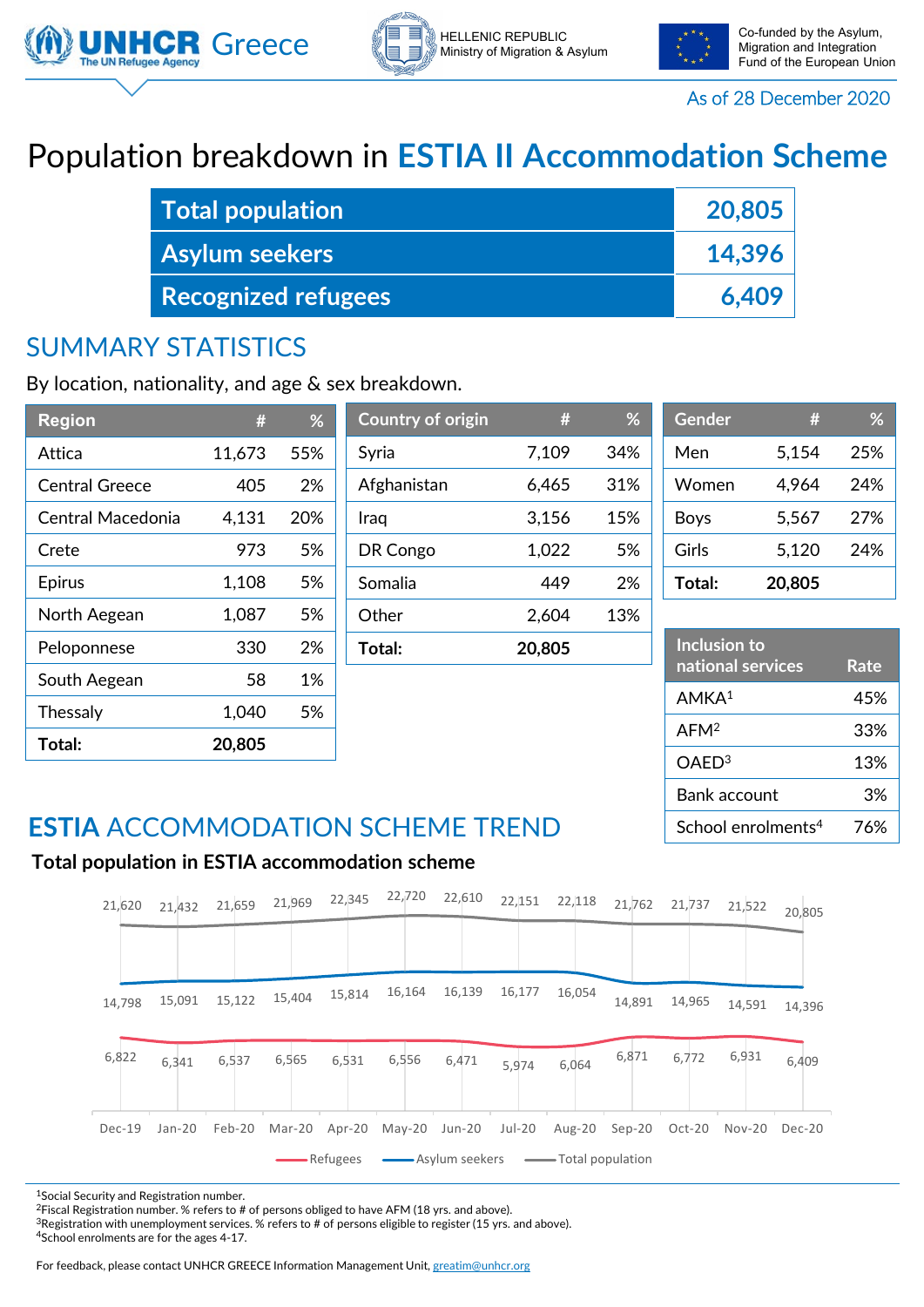





Migration and Integration Fund of the European Union

As of 28 December 2020

# Population breakdown in **ESTIA II Accommodation Scheme**

| <b>Total population</b>    | 20,805 |
|----------------------------|--------|
| <b>Asylum seekers</b>      | 14,396 |
| <b>Recognized refugees</b> | 6.409  |

 $\int$  **Country of origin** 

### SUMMARY STATISTICS

By location, nationality, and age & sex breakdown.

| <b>Region</b>         |        | %   |
|-----------------------|--------|-----|
| Attica                | 11,673 | 55% |
| <b>Central Greece</b> | 405    | 2%  |
| Central Macedonia     | 4,131  | 20% |
| Crete                 | 973    | 5%  |
| <b>Epirus</b>         | 1,108  | 5%  |
| North Aegean          | 1,087  | 5%  |
| Peloponnese           | 330    | 2%  |
| South Aegean          | 58     | 1%  |
| Thessaly              | 1,040  | 5%  |
| Total:                | 20,805 |     |

| $\sim$ $\sim$ $\sim$ $\sim$ $\sim$ $\sim$ $\sim$ $\sim$ | ,,,    |     |
|---------------------------------------------------------|--------|-----|
| Syria                                                   | 7,109  | 34% |
| Afghanistan                                             | 6,465  | 31% |
| Iraq                                                    | 3,156  | 15% |
| DR Congo                                                | 1,022  | 5%  |
| Somalia                                                 | 449    | 2%  |
| Other                                                   | 2,604  | 13% |
| Total:                                                  | 20,805 |     |
|                                                         |        |     |

| <b>Gender</b> | #      | ℅   |
|---------------|--------|-----|
| Men           | 5,154  | 25% |
| Women         | 4,964  | 24% |
| Boys          | 5,567  | 27% |
| Girls         | 5,120  | 24% |
| Total:        | 20,805 |     |

| Inclusion to<br>national services | Rate |
|-----------------------------------|------|
| AMKA <sup>1</sup>                 | 45%  |
| AFM <sup>2</sup>                  | 33%  |
| OAED <sup>3</sup>                 | 13%  |
| Bank account                      | 3%   |
| School enrolments <sup>4</sup>    | 76%  |

### **ESTIA** ACCOMMODATION SCHEME TREND

#### **Total population in ESTIA accommodation scheme**



1Social Security and Registration number.

<sup>2</sup>Fiscal Registration number. % refers to # of persons obliged to have AFM (18 yrs. and above).

<sup>3</sup>Registration with unemployment services. % refers to # of persons eligible to register (15 yrs. and above). 4School enrolments are for the ages 4-17.